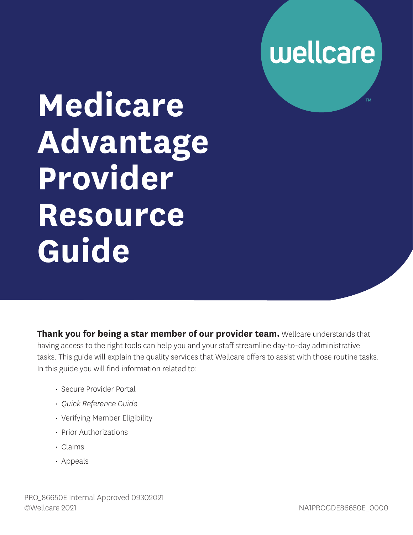

# **Medicare Advantage Provider Resource Guide**

**Thank you for being a star member of our provider team.** Wellcare understands that having access to the right tools can help you and your staff streamline day-to-day administrative tasks. This guide will explain the quality services that Wellcare offers to assist with those routine tasks. In this guide you will find information related to:

- Secure Provider Portal
- *Quick Reference Guide*
- Verifying Member Eligibility
- Prior Authorizations
- Claims
- Appeals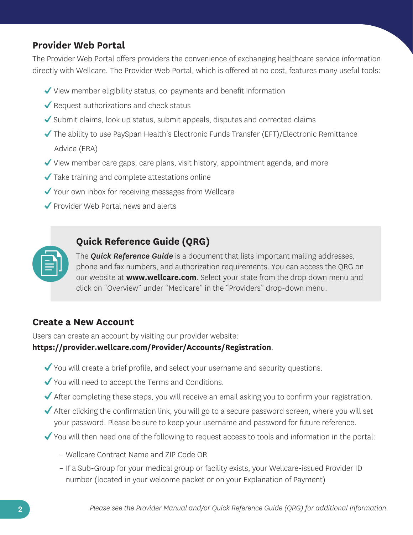### **Provider Web Portal**

The Provider Web Portal offers providers the convenience of exchanging healthcare service information directly with Wellcare. The Provider Web Portal, which is offered at no cost, features many useful tools:

- $\checkmark$  View member eligibility status, co-payments and benefit information
- $\blacktriangleright$  Request authorizations and check status
- Submit claims, look up status, submit appeals, disputes and corrected claims
- $\blacktriangledown$  The ability to use PaySpan Health's Electronic Funds Transfer (EFT)/Electronic Remittance Advice (ERA)
- $\checkmark$  View member care gaps, care plans, visit history, appointment agenda, and more
- $\checkmark$  Take training and complete attestations online
- ◆ Your own inbox for receiving messages from Wellcare
- ◆ Provider Web Portal news and alerts

#### **Quick Reference Guide (QRG)**

The *Quick Reference Guide* is a document that lists important mailing addresses, phone and fax numbers, and authorization requirements. You can access the QRG on our website at **<www.wellcare.com>**. Select your state from the drop down menu and click on "Overview" under "Medicare" in the "Providers" drop-down menu.

#### **Create a New Account**

Users can create an account by visiting our provider website:

#### **<https://provider.wellcare.com/Provider/Accounts/Registration>**.

- You will create a brief profile, and select your username and security questions.
- ◆ You will need to accept the Terms and Conditions.
- After completing these steps, you will receive an email asking you to confirm your registration.
- After clicking the confirmation link, you will go to a secure password screen, where you will set your password. Please be sure to keep your username and password for future reference.
- You will then need one of the following to request access to tools and information in the portal:
	- Wellcare Contract Name and ZIP Code OR
	- If a Sub-Group for your medical group or facility exists, your Wellcare-issued Provider ID number (located in your welcome packet or on your Explanation of Payment)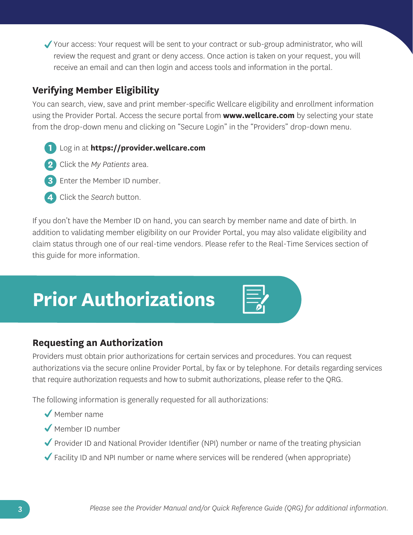Your access: Your request will be sent to your contract or sub-group administrator, who will review the request and grant or deny access. Once action is taken on your request, you will receive an email and can then login and access tools and information in the portal.

# **Verifying Member Eligibility**

You can search, view, save and print member-specific Wellcare eligibility and enrollment information using the Provider Portal. Access the secure portal from **<www.wellcare.com>**by selecting your state from the drop-down menu and clicking on "Secure Login" in the "Providers" drop-down menu.

- **1** Log in at **<https://provider.wellcare.com>**
- **2** Click the *My Patients* area.
- **3** Enter the Member ID number.
- **4** Click the *Search* button.

If you don't have the Member ID on hand, you can search by member name and date of birth. In addition to validating member eligibility on our Provider Portal, you may also validate eligibility and claim status through one of our real-time vendors. Please refer to the Real-Time Services section of this guide for more information.

# **Prior Authorizations**

| the control of the control of the                                               |  |
|---------------------------------------------------------------------------------|--|
| the contract of the contract of the                                             |  |
| the control of the control of the                                               |  |
| the contract of the contract of the contract of the contract of the contract of |  |

### **Requesting an Authorization**

Providers must obtain prior authorizations for certain services and procedures. You can request authorizations via the secure online Provider Portal, by fax or by telephone. For details regarding services that require authorization requests and how to submit authorizations, please refer to the QRG.

The following information is generally requested for all authorizations:

- Member name
- Member ID number
- ◆ Provider ID and National Provider Identifier (NPI) number or name of the treating physician
- $\blacktriangledown$  Facility ID and NPI number or name where services will be rendered (when appropriate)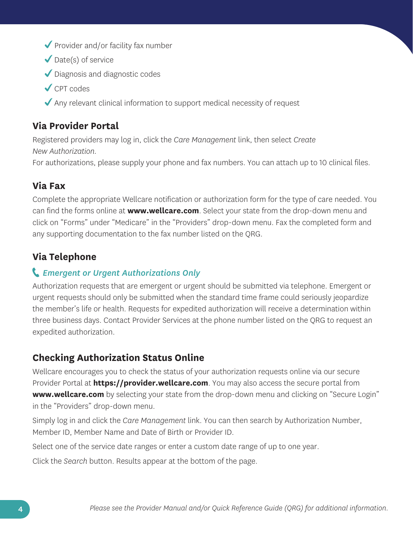- $\blacktriangledown$  Provider and/or facility fax number
- $\blacktriangleright$  Date(s) of service
- Diagnosis and diagnostic codes
- CPT codes
- $\blacktriangleright$  Any relevant clinical information to support medical necessity of request

# **Via Provider Portal**

Registered providers may log in, click the *Care Management* link, then select *Create New Authorization*.

For authorizations, please supply your phone and fax numbers. You can attach up to 10 clinical files.

# **Via Fax**

Complete the appropriate Wellcare notification or authorization form for the type of care needed. You can find the forms online at **<www.wellcare.com>**. Select your state from the drop-down menu and click on "Forms" under "Medicare" in the "Providers" drop-down menu. Fax the completed form and any supporting documentation to the fax number listed on the QRG.

# **Via Telephone**

#### *Emergent or Urgent Authorizations Only*

Authorization requests that are emergent or urgent should be submitted via telephone. Emergent or urgent requests should only be submitted when the standard time frame could seriously jeopardize the member's life or health. Requests for expedited authorization will receive a determination within three business days. Contact Provider Services at the phone number listed on the QRG to request an expedited authorization.

# **Checking Authorization Status Online**

Wellcare encourages you to check the status of your authorization requests online via our secure Provider Portal at **<https://provider.wellcare.com>**. You may also access the secure portal from **<www.wellcare.com>** by selecting your state from the drop-down menu and clicking on "Secure Login" in the "Providers" drop-down menu.

Simply log in and click the *Care Management* link. You can then search by Authorization Number, Member ID, Member Name and Date of Birth or Provider ID.

Select one of the service date ranges or enter a custom date range of up to one year.

Click the *Search* button. Results appear at the bottom of the page.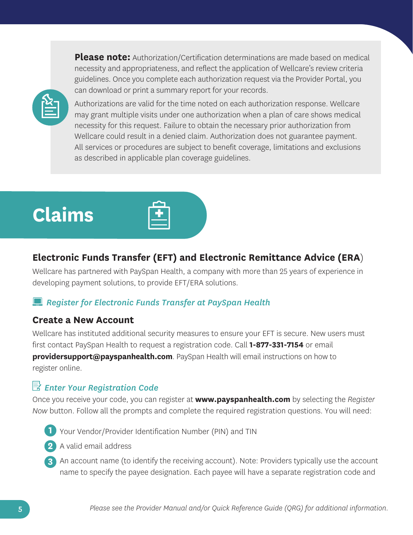**Please note:** Authorization/Certification determinations are made based on medical necessity and appropriateness, and reflect the application of Wellcare's review criteria guidelines. Once you complete each authorization request via the Provider Portal, you can download or print a summary report for your records.



Authorizations are valid for the time noted on each authorization response. Wellcare may grant multiple visits under one authorization when a plan of care shows medical necessity for this request. Failure to obtain the necessary prior authorization from Wellcare could result in a denied claim. Authorization does not guarantee payment. All services or procedures are subject to benefit coverage, limitations and exclusions as described in applicable plan coverage guidelines.

# **Claims**



# **Electronic Funds Transfer (EFT) and Electronic Remittance Advice (ERA**)

Wellcare has partnered with PaySpan Health, a company with more than 25 years of experience in developing payment solutions, to provide EFT/ERA solutions.

# *Register for Electronic Funds Transfer at PaySpan Health*

### **Create a New Account**

Wellcare has instituted additional security measures to ensure your EFT is secure. New users must first contact PaySpan Health to request a registration code. Call **1-877-331-7154** or email **[providersupport@payspanhealth.com](mailto:providersupport@payspanhealth.com)**. PaySpan Health will email instructions on how to register online.

# *Enter Your Registration Code*

Once you receive your code, you can register at **<www.payspanhealth.com>** by selecting the *Register Now* button. Follow all the prompts and complete the required registration questions. You will need:

- **1** Your Vendor/Provider Identification Number (PIN) and TIN
- **2** A valid email address
- **3** An account name (to identify the receiving account). Note: Providers typically use the account name to specify the payee designation. Each payee will have a separate registration code and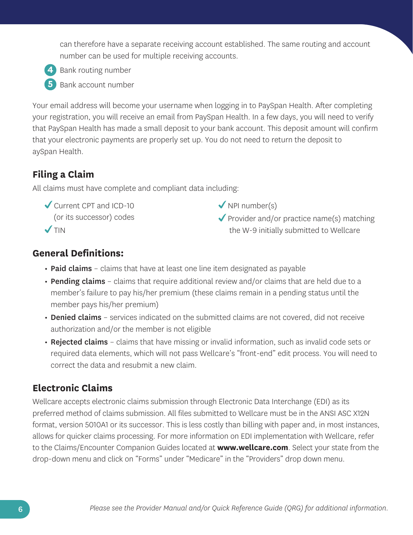can therefore have a separate receiving account established. The same routing and account number can be used for multiple receiving accounts.



**4** Bank routing number

**5** Bank account number

Your email address will become your username when logging in to PaySpan Health. After completing your registration, you will receive an email from PaySpan Health. In a few days, you will need to verify that PaySpan Health has made a small deposit to your bank account. This deposit amount will confirm that your electronic payments are properly set up. You do not need to return the deposit to aySpan Health.

# **Filing a Claim**

All claims must have complete and compliant data including:

Gurrent CPT and ICD-10 (or its successor) codes  $\sqrt{T}$ IN

- $\sqrt{NPI}$  number(s)
- $\blacktriangledown$  Provider and/or practice name(s) matching the W-9 initially submitted to Wellcare

# **General Definitions:**

- Paid claims claims that have at least one line item designated as payable
- Pending claims claims that require additional review and/or claims that are held due to a member's failure to pay his/her premium (these claims remain in a pending status until the member pays his/her premium)
- Denied claims services indicated on the submitted claims are not covered, did not receive authorization and/or the member is not eligible
- Rejected claims claims that have missing or invalid information, such as invalid code sets or required data elements, which will not pass Wellcare's "front-end" edit process. You will need to correct the data and resubmit a new claim.

# **Electronic Claims**

Wellcare accepts electronic claims submission through Electronic Data Interchange (EDI) as its preferred method of claims submission. All files submitted to Wellcare must be in the ANSI ASC X12N format, version 5010A1 or its successor. This is less costly than billing with paper and, in most instances, allows for quicker claims processing. For more information on EDI implementation with Wellcare, refer to the Claims/Encounter Companion Guides located at **<www.wellcare.com>**. Select your state from the drop-down menu and click on "Forms" under "Medicare" in the "Providers" drop down menu.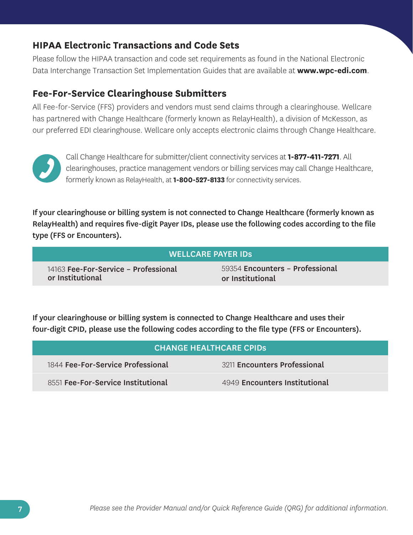#### **HIPAA Electronic Transactions and Code Sets**

Please follow the HIPAA transaction and code set requirements as found in the National Electronic Data Interchange Transaction Set Implementation Guides that are available at **<www.wpc-edi.com>**.

#### **Fee-For-Service Clearinghouse Submitters**

All Fee-for-Service (FFS) providers and vendors must send claims through a clearinghouse. Wellcare has partnered with Change Healthcare (formerly known as RelayHealth), a division of McKesson, as our preferred EDI clearinghouse. Wellcare only accepts electronic claims through Change Healthcare.



Call Change Healthcare for submitter/client connectivity services at **1-877-411-7271**. All clearinghouses, practice management vendors or billing services may call Change Healthcare, formerly known as RelayHealth, at **1-800-527-8133** for connectivity services.

 If your clearinghouse or billing system is not connected to Change Healthcare (formerly known as RelayHealth) and requires five-digit Payer IDs, please use the following codes according to the file type (FFS or Encounters).

| <b>WELLCARE PAYER IDS</b>            |                                 |  |
|--------------------------------------|---------------------------------|--|
| 14163 Fee-For-Service - Professional | 59354 Encounters - Professional |  |
| or Institutional                     | or Institutional                |  |

 If your clearinghouse or billing system is connected to Change Healthcare and uses their four-digit CPID, please use the following codes according to the file type (FFS or Encounters).

| <b>CHANGE HEALTHCARE CPIDS</b>     |                               |
|------------------------------------|-------------------------------|
| 1844 Fee-For-Service Professional  | 3211 Encounters Professional  |
| 8551 Fee-For-Service Institutional | 4949 Encounters Institutional |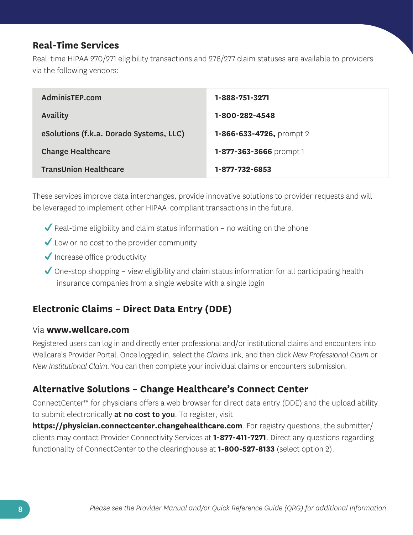### **Real-Time Services**

Real-time HIPAA 270/271 eligibility transactions and 276/277 claim statuses are available to providers via the following vendors:

| AdminisTEP.com                          | 1-888-751-3271           |
|-----------------------------------------|--------------------------|
| Availity                                | 1-800-282-4548           |
| eSolutions (f.k.a. Dorado Systems, LLC) | 1-866-633-4726, prompt 2 |
| <b>Change Healthcare</b>                | 1-877-363-3666 prompt 1  |
| <b>TransUnion Healthcare</b>            | 1-877-732-6853           |

These services improve data interchanges, provide innovative solutions to provider requests and will be leveraged to implement other HIPAA-compliant transactions in the future.

- $\blacktriangledown$  Real-time eligibility and claim status information no waiting on the phone
- ◆ Low or no cost to the provider community
- $\sqrt{}$  Increase office productivity
- $\checkmark$  One-stop shopping view eligibility and claim status information for all participating health insurance companies from a single website with a single login

# **Electronic Claims – Direct Data Entry (DDE)**

#### Via **<www.wellcare.com>**

Registered users can log in and directly enter professional and/or institutional claims and encounters into Wellcare's Provider Portal. Once logged in, select the *Claims* link, and then click *New Professional Claim* or *New Institutional Claim*. You can then complete your individual claims or encounters submission.

### **Alternative Solutions – Change Healthcare's Connect Center**

ConnectCenter™ for physicians offers a web browser for direct data entry (DDE) and the upload ability to submit electronically at no cost to you. To register, visit

**<https://physician.connectcenter.changehealthcare.com>**. For registry questions, the submitter/ clients may contact Provider Connectivity Services at **1-877-411-7271**. Direct any questions regarding functionality of ConnectCenter to the clearinghouse at **1-800-527-8133** (select option 2).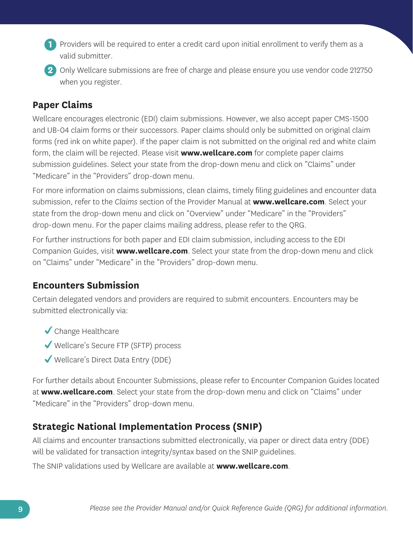- **1** Providers will be required to enter a credit card upon initial enrollment to verify them as a valid submitter.
- **2** Only Wellcare submissions are free of charge and please ensure you use vendor code 212750 when you register.

### **Paper Claims**

Wellcare encourages electronic (EDI) claim submissions. However, we also accept paper CMS-1500 and UB-04 claim forms or their successors. Paper claims should only be submitted on original claim forms (red ink on white paper). If the paper claim is not submitted on the original red and white claim form, the claim will be rejected. Please visit **<www.wellcare.com>** for complete paper claims submission guidelines. Select your state from the drop-down menu and click on "Claims" under "Medicare" in the "Providers" drop-down menu.

For more information on claims submissions, clean claims, timely filing guidelines and encounter data submission, refer to the *Claims* section of the Provider Manual at **<www.wellcare.com>**. Select your state from the drop-down menu and click on "Overview" under "Medicare" in the "Providers" drop-down menu. For the paper claims mailing address, please refer to the QRG.

For further instructions for both paper and EDI claim submission, including access to the EDI Companion Guides, visit **<www.wellcare.com>**. Select your state from the drop-down menu and click on "Claims" under "Medicare" in the "Providers" drop-down menu.

# **Encounters Submission**

Certain delegated vendors and providers are required to submit encounters. Encounters may be submitted electronically via:

- ◆ Change Healthcare
- Wellcare's Secure FTP (SFTP) process
- Wellcare's Direct Data Entry (DDE)

For further details about Encounter Submissions, please refer to Encounter Companion Guides located at **<www.wellcare.com>**. Select your state from the drop-down menu and click on "Claims" under "Medicare" in the "Providers" drop-down menu.

# **Strategic National Implementation Process (SNIP)**

All claims and encounter transactions submitted electronically, via paper or direct data entry (DDE) will be validated for transaction integrity/syntax based on the SNIP guidelines.

The SNIP validations used by Wellcare are available at **<www.wellcare.com>**.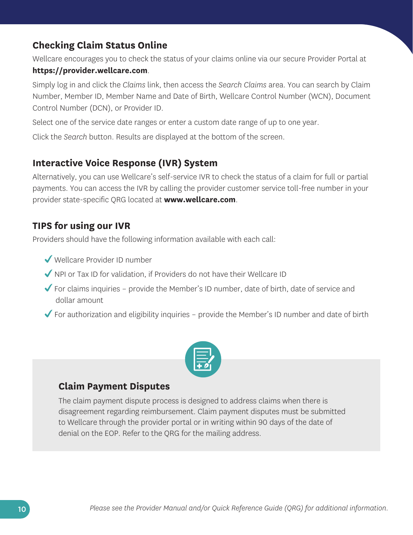# **Checking Claim Status Online**

Wellcare encourages you to check the status of your claims online via our secure Provider Portal at **<https://provider.wellcare.com>**.

Simply log in and click the *Claims* link, then access the *Search Claims* area. You can search by Claim Number, Member ID, Member Name and Date of Birth, Wellcare Control Number (WCN), Document Control Number (DCN), or Provider ID.

Select one of the service date ranges or enter a custom date range of up to one year.

Click the *Search* button. Results are displayed at the bottom of the screen.

#### **Interactive Voice Response (IVR) System**

Alternatively, you can use Wellcare's self-service IVR to check the status of a claim for full or partial payments. You can access the IVR by calling the provider customer service toll-free number in your provider state-specific QRG located at **<www.wellcare.com>**.

#### **TIPS for using our IVR**

Providers should have the following information available with each call:

- Wellcare Provider ID number
- $\blacktriangledown$  NPI or Tax ID for validation, if Providers do not have their Wellcare ID
- $\checkmark$  For claims inquiries provide the Member's ID number, date of birth, date of service and dollar amount
- $\blacktriangleright$  For authorization and eligibility inquiries provide the Member's ID number and date of birth



#### **Claim Payment Disputes**

The claim payment dispute process is designed to address claims when there is disagreement regarding reimbursement. Claim payment disputes must be submitted to Wellcare through the provider portal or in writing within 90 days of the date of denial on the EOP. Refer to the QRG for the mailing address.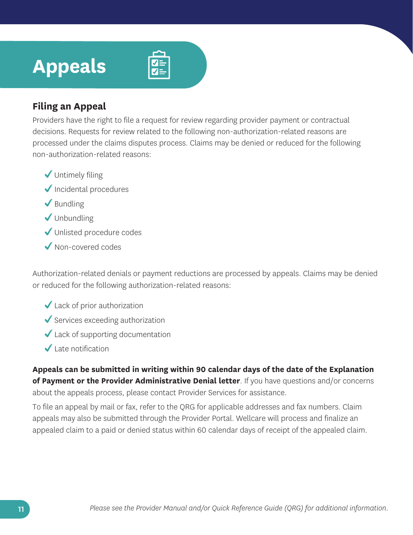# **Appeals**



### **Filing an Appeal**

Providers have the right to file a request for review regarding provider payment or contractual decisions. Requests for review related to the following non-authorization-related reasons are processed under the claims disputes process. Claims may be denied or reduced for the following non-authorization-related reasons:

- ◆ Untimely filing
- $\sqrt{}$  Incidental procedures
- $\blacktriangleright$  Bundling
- $\sqrt{}$  Unbundling
- Unlisted procedure codes
- Non-covered codes

Authorization-related denials or payment reductions are processed by appeals. Claims may be denied or reduced for the following authorization-related reasons:

- ◆ Lack of prior authorization
- $\checkmark$  Services exceeding authorization
- $\checkmark$  Lack of supporting documentation
- $\checkmark$  Late notification

**Appeals can be submitted in writing within 90 calendar days of the date of the Explanation of Payment or the Provider Administrative Denial letter**. If you have questions and/or concerns about the appeals process, please contact Provider Services for assistance.

To file an appeal by mail or fax, refer to the QRG for applicable addresses and fax numbers. Claim appeals may also be submitted through the Provider Portal. Wellcare will process and finalize an appealed claim to a paid or denied status within 60 calendar days of receipt of the appealed claim.